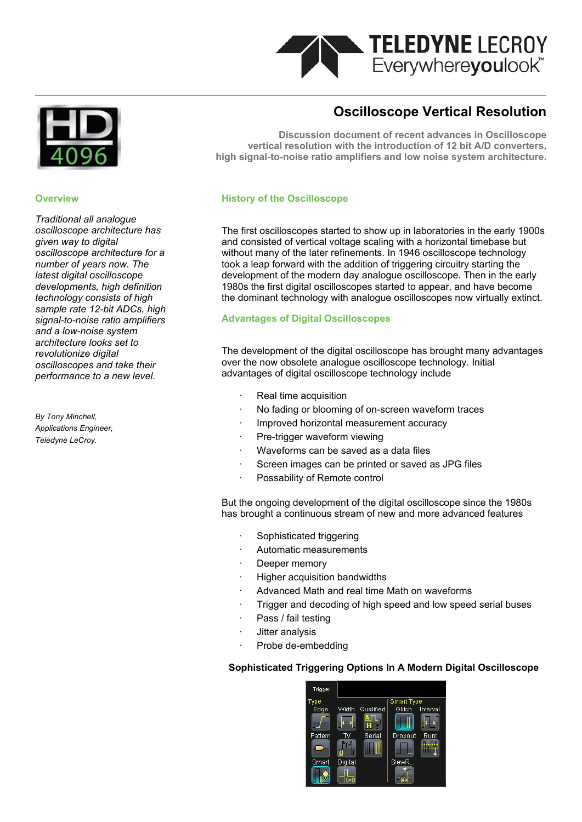

#### **Overview**

*Traditional all analogue oscilloscope architecture has given way to digital oscilloscope architecture for a number of years now. The latest digital oscilloscope developments, high definition technology consists of high sample rate 12-bit ADCs, high signal-to-noise ratio amplifiers and a low-noise system architecture looks set to revolutionize digital oscilloscopes and take their performance to a new level.*

*By Tony Minchell, Applications Engineer, Teledyne LeCroy.*

# **Oscilloscope Vertical Resolution**

**Discussion document of recent advances in Oscilloscope vertical resolution with the introduction of 12 bit A/D converters, high signal-to-noise ratio amplifiers and low noise system architecture.**

#### **History of the Oscilloscope**

The first oscilloscopes started to show up in laboratories in the early 1900s and consisted of vertical voltage scaling with a horizontal timebase but without many of the later refinements. In 1946 oscilloscope technology took a leap forward with the addition of triggering circuitry starting the development of the modern day analogue oscilloscope. Then in the early 1980s the first digital oscilloscopes started to appear, and have become the dominant technology with analogue oscilloscopes now virtually extinct.

#### **Advantages of Digital Oscilloscopes**

The development of the digital oscilloscope has brought many advantages over the now obsolete analogue oscilloscope technology. Initial advantages of digital oscilloscope technology include

- Real time acquisition
- No fading or blooming of on-screen waveform traces
- Improved horizontal measurement accuracy
- Pre-trigger waveform viewing
- Waveforms can be saved as a data files
- Screen images can be printed or saved as JPG files
- Possability of Remote control

But the ongoing development of the digital oscilloscope since the 1980s has brought a continuous stream of new and more advanced features

- Sophisticated triggering
- Automatic measurements
- Deeper memory
- · Higher acquisition bandwidths
- Advanced Math and real time Math on waveforms
- Trigger and decoding of high speed and low speed serial buses
- Pass / fail testing
- · Jitter analysis
- Probe de-embedding

#### **Sophisticated Triggering Options In A Modern Digital Oscilloscope**

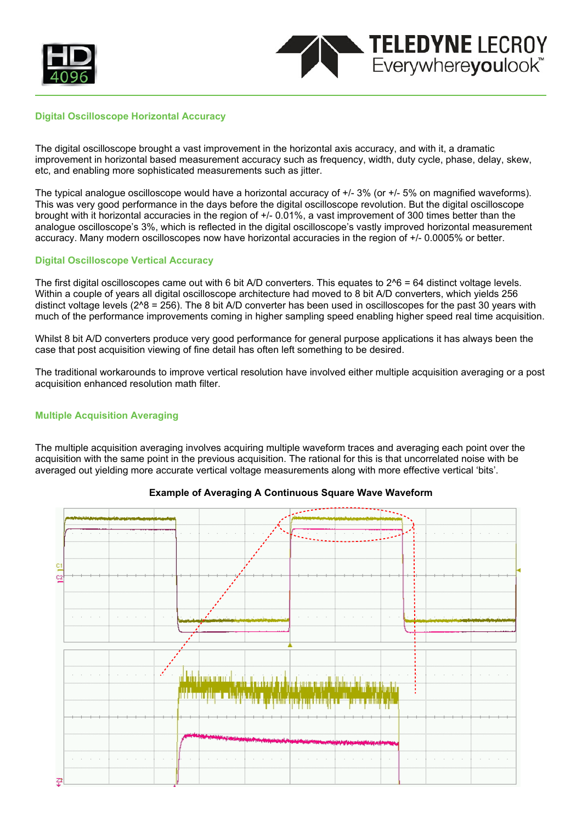



#### **Digital Oscilloscope Horizontal Accuracy**

The digital oscilloscope brought a vast improvement in the horizontal axis accuracy, and with it, a dramatic improvement in horizontal based measurement accuracy such as frequency, width, duty cycle, phase, delay, skew, etc, and enabling more sophisticated measurements such as jitter.

The typical analogue oscilloscope would have a horizontal accuracy of +/- 3% (or +/- 5% on magnified waveforms). This was very good performance in the days before the digital oscilloscope revolution. But the digital oscilloscope brought with it horizontal accuracies in the region of +/- 0.01%, a vast improvement of 300 times better than the analogue oscilloscope's 3%, which is reflected in the digital oscilloscope's vastly improved horizontal measurement accuracy. Many modern oscilloscopes now have horizontal accuracies in the region of +/- 0.0005% or better.

#### **Digital Oscilloscope Vertical Accuracy**

The first digital oscilloscopes came out with 6 bit A/D converters. This equates to 2^6 = 64 distinct voltage levels. Within a couple of years all digital oscilloscope architecture had moved to 8 bit A/D converters, which yields 256 distinct voltage levels (2^8 = 256). The 8 bit A/D converter has been used in oscilloscopes for the past 30 years with much of the performance improvements coming in higher sampling speed enabling higher speed real time acquisition.

Whilst 8 bit A/D converters produce very good performance for general purpose applications it has always been the case that post acquisition viewing of fine detail has often left something to be desired.

The traditional workarounds to improve vertical resolution have involved either multiple acquisition averaging or a post acquisition enhanced resolution math filter.

### **Multiple Acquisition Averaging**

The multiple acquisition averaging involves acquiring multiple waveform traces and averaging each point over the acquisition with the same point in the previous acquisition. The rational for this is that uncorrelated noise with be averaged out yielding more accurate vertical voltage measurements along with more effective vertical 'bits'.



### **Example of Averaging A Continuous Square Wave Waveform**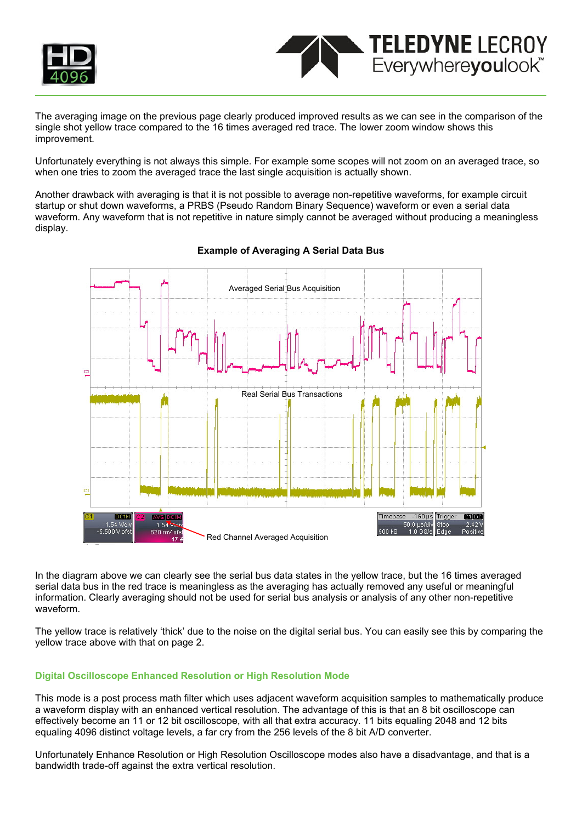



The averaging image on the previous page clearly produced improved results as we can see in the comparison of the single shot yellow trace compared to the 16 times averaged red trace. The lower zoom window shows this improvement.

Unfortunately everything is not always this simple. For example some scopes will not zoom on an averaged trace, so when one tries to zoom the averaged trace the last single acquisition is actually shown.

Another drawback with averaging is that it is not possible to average non-repetitive waveforms, for example circuit startup or shut down waveforms, a PRBS (Pseudo Random Binary Sequence) waveform or even a serial data waveform. Any waveform that is not repetitive in nature simply cannot be averaged without producing a meaningless display.



## **Example of Averaging A Serial Data Bus**

In the diagram above we can clearly see the serial bus data states in the yellow trace, but the 16 times averaged serial data bus in the red trace is meaningless as the averaging has actually removed any useful or meaningful information. Clearly averaging should not be used for serial bus analysis or analysis of any other non-repetitive waveform.

The yellow trace is relatively 'thick' due to the noise on the digital serial bus. You can easily see this by comparing the yellow trace above with that on page 2.

# **Digital Oscilloscope Enhanced Resolution or High Resolution Mode**

This mode is a post process math filter which uses adjacent waveform acquisition samples to mathematically produce a waveform display with an enhanced vertical resolution. The advantage of this is that an 8 bit oscilloscope can effectively become an 11 or 12 bit oscilloscope, with all that extra accuracy. 11 bits equaling 2048 and 12 bits equaling 4096 distinct voltage levels, a far cry from the 256 levels of the 8 bit A/D converter.

Unfortunately Enhance Resolution or High Resolution Oscilloscope modes also have a disadvantage, and that is a bandwidth trade-off against the extra vertical resolution.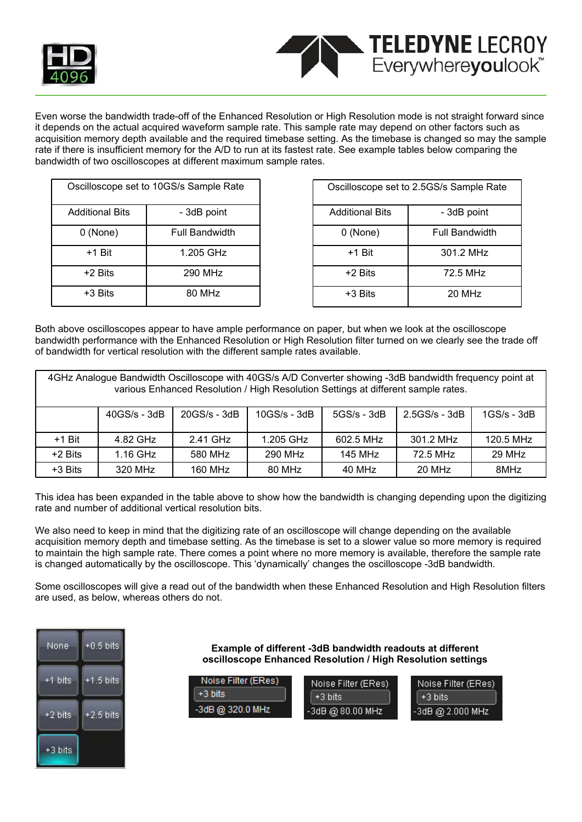



Even worse the bandwidth trade-off of the Enhanced Resolution or High Resolution mode is not straight forward since it depends on the actual acquired waveform sample rate. This sample rate may depend on other factors such as acquisition memory depth available and the required timebase setting. As the timebase is changed so may the sample rate if there is insufficient memory for the A/D to run at its fastest rate. See example tables below comparing the bandwidth of two oscilloscopes at different maximum sample rates.

| Oscilloscope set to 10GS/s Sample Rate |                |  |  |  |
|----------------------------------------|----------------|--|--|--|
| <b>Additional Bits</b>                 | - 3dB point    |  |  |  |
| $0$ (None)                             | Full Bandwidth |  |  |  |
| +1 Bit                                 | 1.205 GHz      |  |  |  |
| +2 Bits                                | 290 MHz        |  |  |  |
| +3 Bits                                | 80 MHz         |  |  |  |

| Oscilloscope set to 2.5GS/s Sample Rate |                       |  |  |  |
|-----------------------------------------|-----------------------|--|--|--|
| <b>Additional Bits</b>                  | - 3dB point           |  |  |  |
| 0 (None)                                | <b>Full Bandwidth</b> |  |  |  |
| $+1$ Bit                                | 301.2 MHz             |  |  |  |
| +2 Bits                                 | 72.5 MHz              |  |  |  |
| +3 Bits                                 | 20 MHz                |  |  |  |

Both above oscilloscopes appear to have ample performance on paper, but when we look at the oscilloscope bandwidth performance with the Enhanced Resolution or High Resolution filter turned on we clearly see the trade off of bandwidth for vertical resolution with the different sample rates available.

| 4GHz Analogue Bandwidth Oscilloscope with 40GS/s A/D Converter showing -3dB bandwidth frequency point at<br>various Enhanced Resolution / High Resolution Settings at different sample rates. |                |                |                |                |                     |               |  |
|-----------------------------------------------------------------------------------------------------------------------------------------------------------------------------------------------|----------------|----------------|----------------|----------------|---------------------|---------------|--|
|                                                                                                                                                                                               | $40GS/s - 3dB$ | $20GS/s - 3dB$ | $10GS/s - 3dB$ | $5GS/s - 3dB$  | $2.5GS/s - 3dB$     | $1GS/s - 3dB$ |  |
| $+1$ Bit                                                                                                                                                                                      | 4.82 GHz       | 2.41 GHz       | 1.205 GHz      | 602.5 MHz      | $301.2 \text{ MHz}$ | 120.5 MHz     |  |
| $+2$ Bits                                                                                                                                                                                     | 1.16 GHz       | 580 MHz        | 290 MHz        | <b>145 MHz</b> | 72.5 MHz            | 29 MHz        |  |
| +3 Bits                                                                                                                                                                                       | 320 MHz        | <b>160 MHz</b> | 80 MHz         | 40 MHz         | 20 MHz              | 8MHz          |  |

This idea has been expanded in the table above to show how the bandwidth is changing depending upon the digitizing rate and number of additional vertical resolution bits.

We also need to keep in mind that the digitizing rate of an oscilloscope will change depending on the available acquisition memory depth and timebase setting. As the timebase is set to a slower value so more memory is required to maintain the high sample rate. There comes a point where no more memory is available, therefore the sample rate is changed automatically by the oscilloscope. This 'dynamically' changes the oscilloscope -3dB bandwidth.

Some oscilloscopes will give a read out of the bandwidth when these Enhanced Resolution and High Resolution filters are used, as below, whereas others do not.

| None    | $+0.5$ bits |
|---------|-------------|
| +1 bits | +1.5 bits   |
| +2 bits | $+2.5$ bits |
| +3 bits |             |

**Example of different -3dB bandwidth readouts at different oscilloscope Enhanced Resolution / High Resolution settings**

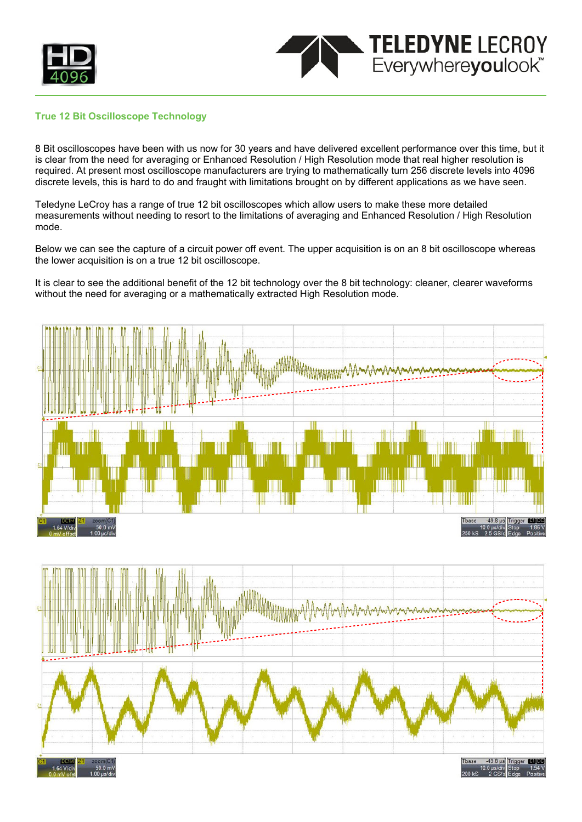



#### **True 12 Bit Oscilloscope Technology**

8 Bit oscilloscopes have been with us now for 30 years and have delivered excellent performance over this time, but it is clear from the need for averaging or Enhanced Resolution / High Resolution mode that real higher resolution is required. At present most oscilloscope manufacturers are trying to mathematically turn 256 discrete levels into 4096 discrete levels, this is hard to do and fraught with limitations brought on by different applications as we have seen.

Teledyne LeCroy has a range of true 12 bit oscilloscopes which allow users to make these more detailed measurements without needing to resort to the limitations of averaging and Enhanced Resolution / High Resolution mode.

Below we can see the capture of a circuit power off event. The upper acquisition is on an 8 bit oscilloscope whereas the lower acquisition is on a true 12 bit oscilloscope.

It is clear to see the additional benefit of the 12 bit technology over the 8 bit technology: cleaner, clearer waveforms without the need for averaging or a mathematically extracted High Resolution mode.